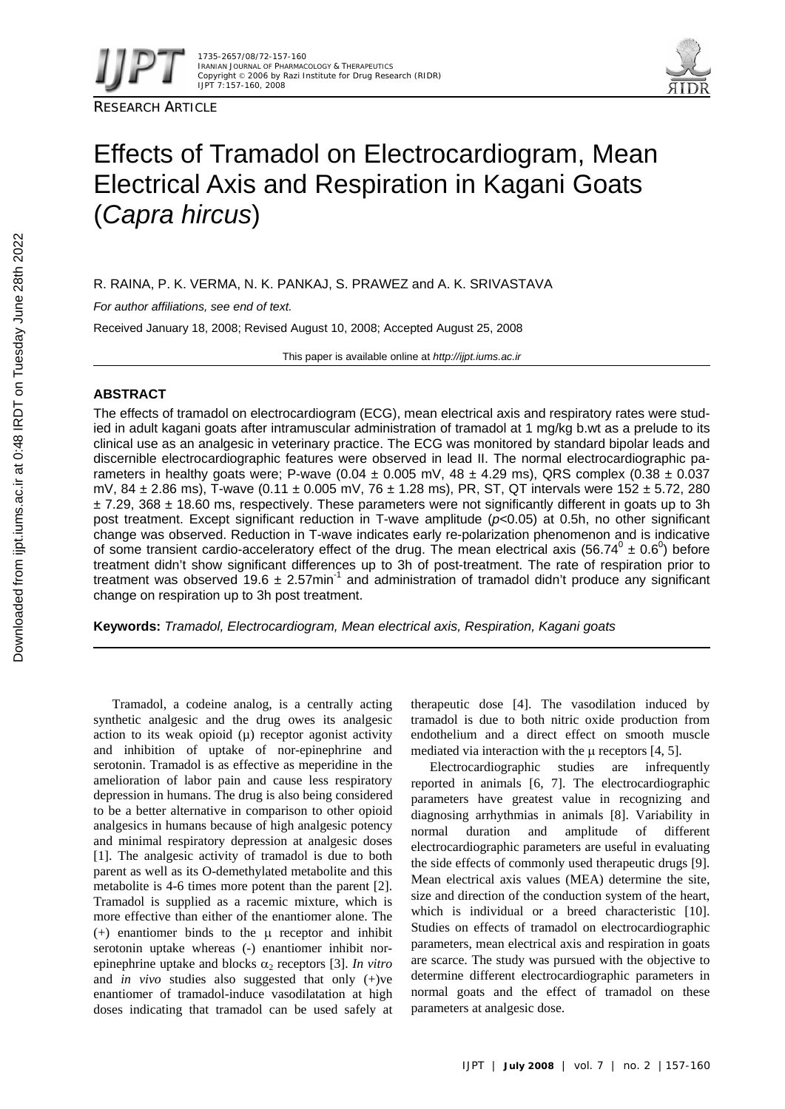

RESEARCH ARTICLE



# Effects of Tramadol on Electrocardiogram, Mean Electrical Axis and Respiration in Kagani Goats (*Capra hircus*)

R. RAINA, P. K. VERMA, N. K. PANKAJ, S. PRAWEZ and A. K. SRIVASTAVA

*For author affiliations, see end of text.* 

Received January 18, 2008; Revised August 10, 2008; Accepted August 25, 2008

This paper is available online at *http://ijpt.iums.ac.ir*

# **ABSTRACT**

The effects of tramadol on electrocardiogram (ECG), mean electrical axis and respiratory rates were studied in adult kagani goats after intramuscular administration of tramadol at 1 mg/kg b.wt as a prelude to its clinical use as an analgesic in veterinary practice. The ECG was monitored by standard bipolar leads and discernible electrocardiographic features were observed in lead II. The normal electrocardiographic parameters in healthy goats were; P-wave (0.04  $\pm$  0.005 mV, 48  $\pm$  4.29 ms), QRS complex (0.38  $\pm$  0.037 mV, 84  $\pm$  2.86 ms), T-wave (0.11  $\pm$  0.005 mV, 76  $\pm$  1.28 ms), PR, ST, QT intervals were 152  $\pm$  5.72, 280  $\pm$  7.29, 368  $\pm$  18.60 ms, respectively. These parameters were not significantly different in goats up to 3h post treatment. Except significant reduction in T-wave amplitude (*p*<0.05) at 0.5h, no other significant change was observed. Reduction in T-wave indicates early re-polarization phenomenon and is indicative of some transient cardio-acceleratory effect of the drug. The mean electrical axis (56.74 $^0$  ± 0.6 $^0$ ) before treatment didn't show significant differences up to 3h of post-treatment. The rate of respiration prior to treatment was observed 19.6  $\pm$  2.57min<sup>-1</sup> and administration of tramadol didn't produce any significant change on respiration up to 3h post treatment.

**Keywords:** *Tramadol, Electrocardiogram, Mean electrical axis, Respiration, Kagani goats* 

Tramadol, a codeine analog, is a centrally acting synthetic analgesic and the drug owes its analgesic action to its weak opioid  $(\mu)$  receptor agonist activity and inhibition of uptake of nor-epinephrine and serotonin. Tramadol is as effective as meperidine in the amelioration of labor pain and cause less respiratory depression in humans. The drug is also being considered to be a better alternative in comparison to other opioid analgesics in humans because of high analgesic potency and minimal respiratory depression at analgesic doses [1]. The analgesic activity of tramadol is due to both parent as well as its O-demethylated metabolite and this metabolite is 4-6 times more potent than the parent [2]. Tramadol is supplied as a racemic mixture, which is more effective than either of the enantiomer alone. The (+) enantiomer binds to the μ receptor and inhibit serotonin uptake whereas (-) enantiomer inhibit norepinephrine uptake and blocks  $\alpha_2$  receptors [3]. *In vitro* and *in vivo* studies also suggested that only (+)ve enantiomer of tramadol-induce vasodilatation at high doses indicating that tramadol can be used safely at

therapeutic dose [4]. The vasodilation induced by tramadol is due to both nitric oxide production from endothelium and a direct effect on smooth muscle mediated via interaction with the  $\mu$  receptors [4, 5].

Electrocardiographic studies are infrequently reported in animals [6, 7]. The electrocardiographic parameters have greatest value in recognizing and diagnosing arrhythmias in animals [ 8]. Variability in normal duration and amplitude of different electrocardiographic parameters are useful in evaluating the side effects of commonly used therapeutic drugs [9]. Mean electrical axis values (MEA) determine the site, size and direction of the conduction system of the heart, which is individual or a breed characteristic [10]. Studies on effects of tramadol on electrocardiographic parameters, mean electrical axis and respiration in goats are scarce. The study was pursued with the objective to determine different electrocardiographic parameters in normal goats and the effect of tramadol on these parameters at analgesic dose.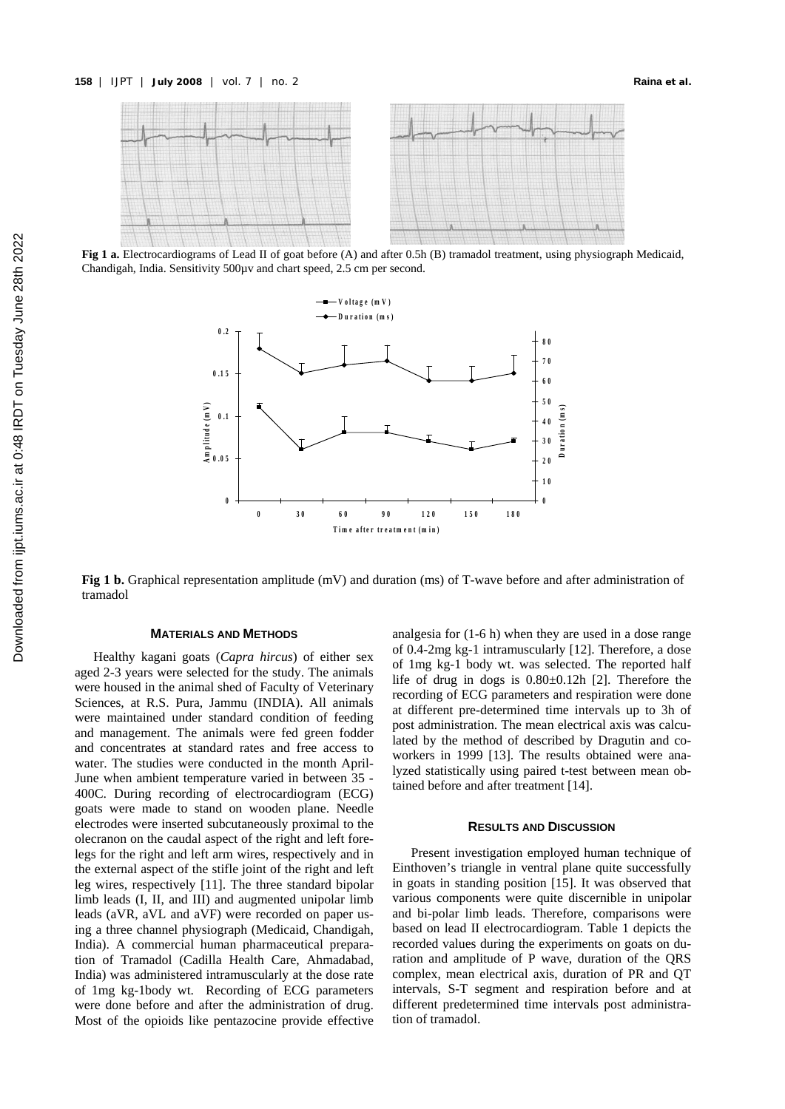

**Fig 1 a.** Electrocardiograms of Lead II of goat before (A) and after 0.5h (B) tramadol treatment, using physiograph Medicaid, Chandigah, India. Sensitivity 500µv and chart speed, 2.5 cm per second.



**Fig 1 b.** Graphical representation amplitude (mV) and duration (ms) of T-wave before and after administration of tramadol

## **MATERIALS AND METHODS**

Healthy kagani goats (*Capra hircus*) of either sex aged 2-3 years were selected for the study. The animals were housed in the animal shed of Faculty of Veterinary Sciences, at R.S. Pura, Jammu (INDIA). All animals were maintained under standard condition of feeding and management. The animals were fed green fodder and concentrates at standard rates and free access to water. The studies were conducted in the month April-June when ambient temperature varied in between 35 - 400C. During recording of electrocardiogram (ECG) goats were made to stand on wooden plane. Needle electrodes were inserted subcutaneously proximal to the olecranon on the caudal aspect of the right and left forelegs for the right and left arm wires, respectively and in the external aspect of the stifle joint of the right and left leg wires, respectively [11]. The three standard bipolar limb leads (I, II, and III) and augmented unipolar limb leads (aVR, aVL and aVF) were recorded on paper using a three channel physiograph (Medicaid, Chandigah, India). A commercial human pharmaceutical preparation of Tramadol (Cadilla Health Care, Ahmadabad, India) was administered intramuscularly at the dose rate of 1mg kg-1body wt. Recording of ECG parameters were done before and after the administration of drug. Most of the opioids like pentazocine provide effective

analgesia for (1-6 h) when they are used in a dose range of 0.4-2mg kg-1 intramuscularly [ 12]. Therefore, a dose of 1mg kg-1 body wt. was selected. The reported half life of drug in dogs is  $0.80 \pm 0.12$ h [2]. Therefore the recording of ECG parameters and respiration were done at different pre-determined time intervals up to 3h of post administration. The mean electrical axis was calculated by the method of described by Dragutin and coworkers in 1999 [13]. The results obtained were analyzed statistically using paired t-test between mean obtained before and after treatment [ 14].

#### **RESULTS AND DISCUSSION**

Present investigation employed human technique of Einthoven's triangle in ventral plane quite successfully in goats in standing position [ 15]. It was observed that various components were quite discernible in unipolar and bi-polar limb leads. Therefore, comparisons were based on lead II electrocardiogram. Table 1 depicts the recorded values during the experiments on goats on duration and amplitude of P wave, duration of the QRS complex, mean electrical axis, duration of PR and QT intervals, S-T segment and respiration before and at different predetermined time intervals post administration of tramadol.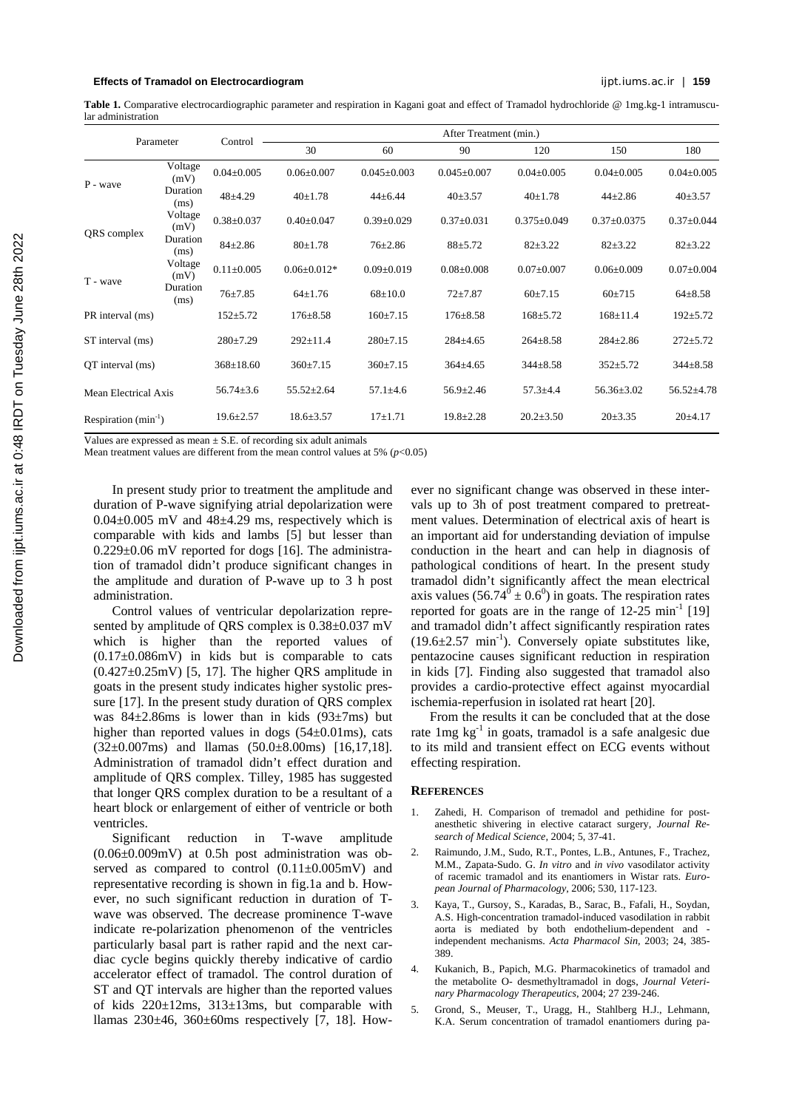### **Effects of Tramadol on Electrocardiogram** ijpt.iums.ac.ir | **159**

Table 1. Comparative electrocardiographic parameter and respiration in Kagani goat and effect of Tramadol hydrochloride @ 1mg.kg-1 intramuscular administration

| Parameter                |                  | Control          | After Treatment (min.) |                   |                   |                   |                   |                  |
|--------------------------|------------------|------------------|------------------------|-------------------|-------------------|-------------------|-------------------|------------------|
|                          |                  |                  | 30                     | 60                | 90                | 120               | 150               | 180              |
| P - wave                 | Voltage<br>(mV)  | $0.04 \pm 0.005$ | $0.06 \pm 0.007$       | $0.045 \pm 0.003$ | $0.045 \pm 0.007$ | $0.04 \pm 0.005$  | $0.04 \pm 0.005$  | $0.04 \pm 0.005$ |
|                          | Duration<br>(ms) | $48 + 4.29$      | $40 \pm 1.78$          | $44\pm 6.44$      | $40+3.57$         | $40+1.78$         | $44\pm 2.86$      | $40\pm3.57$      |
| QRS complex              | Voltage<br>(mV)  | $0.38 \pm 0.037$ | $0.40 \pm 0.047$       | $0.39 \pm 0.029$  | $0.37 \pm 0.031$  | $0.375 \pm 0.049$ | $0.37 \pm 0.0375$ | $0.37 \pm 0.044$ |
|                          | Duration<br>(ms) | $84 \pm 2.86$    | $80+1.78$              | $76 \pm 2.86$     | $88 + 5.72$       | $82 \pm 3.22$     | $82+3.22$         | $82+3.22$        |
| T - wave                 | Voltage<br>(mV)  | $0.11 \pm 0.005$ | $0.06 \pm 0.012*$      | $0.09 \pm 0.019$  | $0.08 \pm 0.008$  | $0.07 \pm 0.007$  | $0.06 \pm 0.009$  | $0.07 \pm 0.004$ |
|                          | Duration<br>(ms) | $76 \pm 7.85$    | $64 \pm 1.76$          | $68 \pm 10.0$     | $72 + 7.87$       | $60\pm7.15$       | $60+715$          | $64 \pm 8.58$    |
| PR interval (ms)         |                  | $152 + 5.72$     | $176 \pm 8.58$         | $160 \pm 7.15$    | $176 \pm 8.58$    | $168 + 5.72$      | $168 \pm 11.4$    | $192 + 5.72$     |
| ST interval (ms)         |                  | $280 \pm 7.29$   | $292 \pm 11.4$         | $280 \pm 7.15$    | $284 \pm 4.65$    | $264 \pm 8.58$    | $284 \pm 2.86$    | $272 + 5.72$     |
| QT interval (ms)         |                  | $368 \pm 18.60$  | $360 \pm 7.15$         | $360 \pm 7.15$    | $364 \pm 4.65$    | $344 \pm 8.58$    | $352 + 5.72$      | $344 \pm 8.58$   |
| Mean Electrical Axis     |                  | $56.74 \pm 3.6$  | $55.52 \pm 2.64$       | $57.1 \pm 4.6$    | $56.9 \pm 2.46$   | $57.3 + 4.4$      | $56.36 \pm 3.02$  | $56.52 \pm 4.78$ |
| Respiration $(min^{-1})$ |                  | $19.6 \pm 2.57$  | $18.6 \pm 3.57$        | $17+1.71$         | $19.8 \pm 2.28$   | $20.2 \pm 3.50$   | $20\pm3.35$       | $20+4.17$        |

Values are expressed as mean  $\pm$  S.E. of recording six adult animals

Mean treatment values are different from the mean control values at 5%  $(p<0.05)$ 

In present study prior to treatment the amplitude and duration of P-wave signifying atrial depolarization were  $0.04\pm0.005$  mV and  $48\pm4.29$  ms, respectively which is comparable with kids and lambs [5] but lesser than  $0.229\pm0.06$  mV reported for dogs [16]. The administration of tramadol didn't produce significant changes in the amplitude and duration of P-wave up to 3 h post administration.

Control values of ventricular depolarization represented by amplitude of QRS complex is 0.38±0.037 mV which is higher than the reported values of  $(0.17\pm0.086\text{mV})$  in kids but is comparable to cats  $(0.427\pm0.25\text{mV})$  [5, 17]. The higher QRS amplitude in goats in the present study indicates higher systolic pressure [17]. In the present study duration of QRS complex was  $84\pm2.86$ ms is lower than in kids  $(93\pm7)$ ms) but higher than reported values in dogs (54±0.01ms), cats  $(32\pm0.007\text{ms})$  and llamas  $(50.0\pm8.00\text{ms})$  [16,17,18]. Administration of tramadol didn't effect duration and amplitude of QRS complex. Tilley, 1985 has suggested that longer QRS complex duration to be a resultant of a heart block or enlargement of either of ventricle or both ventricles.

Significant reduction in T-wave amplitude  $(0.06\pm0.009\text{mV})$  at 0.5h post administration was observed as compared to control  $(0.11 \pm 0.005 \text{mV})$  and representative recording is shown in fig.1a and b. However, no such significant reduction in duration of Twave was observed. The decrease prominence T-wave indicate re-polarization phenomenon of the ventricles particularly basal part is rather rapid and the next cardiac cycle begins quickly thereby indicative of cardio accelerator effect of tramadol. The control duration of ST and QT intervals are higher than the reported values of kids 220±12ms, 313±13ms, but comparable with llamas  $230\pm46$ ,  $360\pm60$ ms respectively [7, 18]. However no significant change was observed in these intervals up to 3h of post treatment compared to pretreatment values. Determination of electrical axis of heart is an important aid for understanding deviation of impulse conduction in the heart and can help in diagnosis of pathological conditions of heart. In the present study tramadol didn't significantly affect the mean electrical axis values  $(56.74^{\circ} \pm 0.6^{\circ})$  in goats. The respiration rates reported for goats are in the range of  $12-25$  min<sup>-1</sup> [19] and tramadol didn't affect significantly respiration rates  $(19.6\pm2.57 \text{ min}^{-1})$ . Conversely opiate substitutes like, pentazocine causes significant reduction in respiration in kids [ 7]. Finding also suggested that tramadol also provides a cardio-protective effect against myocardial ischemia-reperfusion in isolated rat heart [20].

From the results it can be concluded that at the dose rate 1mg kg-1 in goats, tramadol is a safe analgesic due to its mild and transient effect on ECG events without effecting respiration.

#### **REFERENCES**

- 1. Zahedi, H. Comparison of tremadol and pethidine for postanesthetic shivering in elective cataract surgery, *Journal Research of Medical Science,* 2004; 5, 37-41.
- 2. Raimundo, J.M., Sudo, R.T., Pontes, L.B., Antunes, F., Trachez, M.M., Zapata-Sudo. G. *In vitro* and *in vivo* vasodilator activity of racemic tramadol and its enantiomers in Wistar rats. *European Journal of Pharmacology*, 2006; 530, 117-123.
- 3. Kaya, T., Gursoy, S., Karadas, B., Sarac, B., Fafali, H., Soydan, A.S. High-concentration tramadol-induced vasodilation in rabbit aorta is mediated by both endothelium-dependent and independent mechanisms. *Acta Pharmacol Sin,* 2003; 24, 385- 389.
- 4. Kukanich, B., Papich, M.G. Pharmacokinetics of tramadol and the metabolite O- desmethyltramadol in dogs, *Journal Veterinary Pharmacology Therapeutics*, 2004; 27 239-246.
- 5. Grond, S., Meuser, T., Uragg, H., Stahlberg H.J., Lehmann, K.A. Serum concentration of tramadol enantiomers during pa-